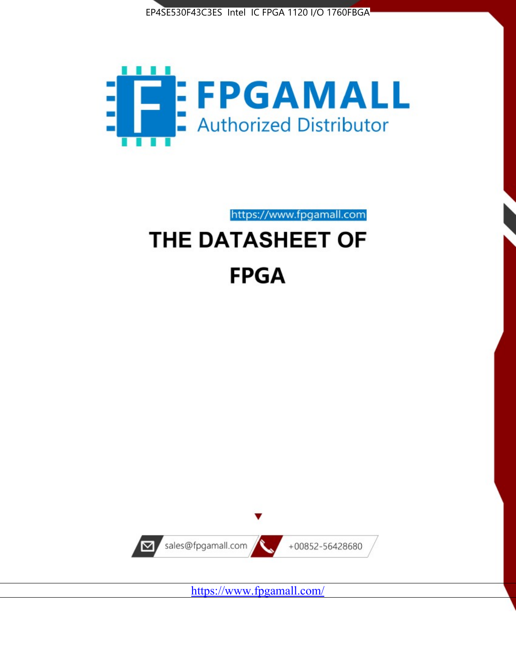



https://www.fpgamall.com

# THE DATASHEET OF **FPGA**



<https://www.fpgamall.com/>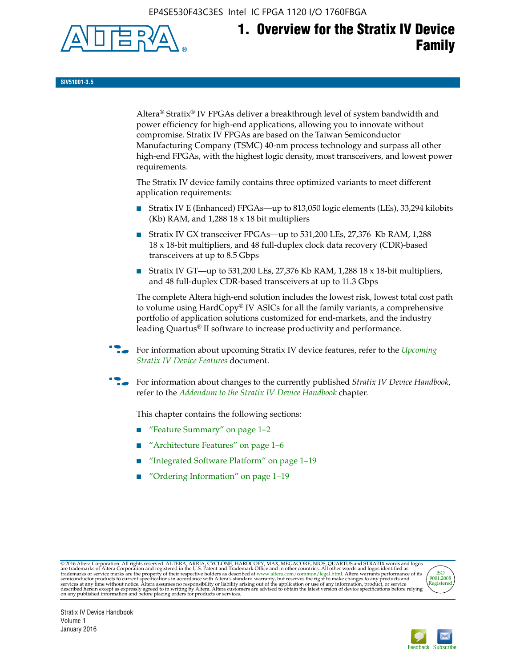EP4SE530F43C3ES Intel IC FPGA 1120 I/O 1760FBGA



# **1. Overview for the Stratix IV Device Family**

**SIV51001-3.5**

Altera® Stratix® IV FPGAs deliver a breakthrough level of system bandwidth and power efficiency for high-end applications, allowing you to innovate without compromise. Stratix IV FPGAs are based on the Taiwan Semiconductor Manufacturing Company (TSMC) 40-nm process technology and surpass all other high-end FPGAs, with the highest logic density, most transceivers, and lowest power requirements.

The Stratix IV device family contains three optimized variants to meet different application requirements:

- Stratix IV E (Enhanced) FPGAs—up to 813,050 logic elements (LEs), 33,294 kilobits (Kb) RAM, and 1,288 18 x 18 bit multipliers
- Stratix IV GX transceiver FPGAs—up to 531,200 LEs, 27,376 Kb RAM, 1,288 18 x 18-bit multipliers, and 48 full-duplex clock data recovery (CDR)-based transceivers at up to 8.5 Gbps
- Stratix IV GT—up to 531,200 LEs, 27,376 Kb RAM, 1,288 18 x 18-bit multipliers, and 48 full-duplex CDR-based transceivers at up to 11.3 Gbps

The complete Altera high-end solution includes the lowest risk, lowest total cost path to volume using HardCopy® IV ASICs for all the family variants, a comprehensive portfolio of application solutions customized for end-markets, and the industry leading Quartus® II software to increase productivity and performance.

For information about upcoming Stratix IV device features, refer to the *Upcoming [Stratix IV Device Features](http://www.altera.com/literature/hb/stratix-iv/uf01001.pdf?GSA_pos=2&WT.oss_r=1&WT.oss=upcoming)* document.

f For information about changes to the currently published *Stratix IV Device Handbook*, refer to the *[Addendum to the Stratix IV Device Handbook](http://www.altera.com/literature/hb/stratix-iv/stx4_siv54002.pdf)* chapter.

This chapter contains the following sections:

- "Feature Summary" on page 1–2
- "Architecture Features" on page 1–6
- "Integrated Software Platform" on page 1–19
- "Ordering Information" on page 1–19

@2016 Altera Corporation. All rights reserved. ALTERA, ARRIA, CYCLONE, HARDCOPY, MAX, MEGACORE, NIOS, QUARTUS and STRATIX words and logos are trademarks of Altera Corporation and registered in the U.S. Patent and Trademark



Stratix IV Device Handbook Volume 1 January 2016

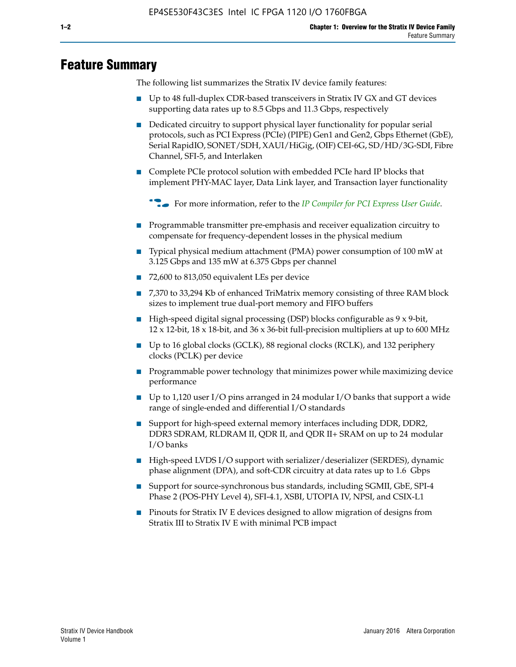# **Feature Summary**

The following list summarizes the Stratix IV device family features:

- Up to 48 full-duplex CDR-based transceivers in Stratix IV GX and GT devices supporting data rates up to 8.5 Gbps and 11.3 Gbps, respectively
- Dedicated circuitry to support physical layer functionality for popular serial protocols, such as PCI Express (PCIe) (PIPE) Gen1 and Gen2, Gbps Ethernet (GbE), Serial RapidIO, SONET/SDH, XAUI/HiGig, (OIF) CEI-6G, SD/HD/3G-SDI, Fibre Channel, SFI-5, and Interlaken
- Complete PCIe protocol solution with embedded PCIe hard IP blocks that implement PHY-MAC layer, Data Link layer, and Transaction layer functionality

**For more information, refer to the** *[IP Compiler for PCI Express User Guide](http://www.altera.com/literature/ug/ug_pci_express.pdf)***.** 

- Programmable transmitter pre-emphasis and receiver equalization circuitry to compensate for frequency-dependent losses in the physical medium
- Typical physical medium attachment (PMA) power consumption of 100 mW at 3.125 Gbps and 135 mW at 6.375 Gbps per channel
- 72,600 to 813,050 equivalent LEs per device
- 7,370 to 33,294 Kb of enhanced TriMatrix memory consisting of three RAM block sizes to implement true dual-port memory and FIFO buffers
- High-speed digital signal processing (DSP) blocks configurable as 9 x 9-bit,  $12 \times 12$ -bit,  $18 \times 18$ -bit, and  $36 \times 36$ -bit full-precision multipliers at up to 600 MHz
- Up to 16 global clocks (GCLK), 88 regional clocks (RCLK), and 132 periphery clocks (PCLK) per device
- Programmable power technology that minimizes power while maximizing device performance
- Up to 1,120 user I/O pins arranged in 24 modular I/O banks that support a wide range of single-ended and differential I/O standards
- Support for high-speed external memory interfaces including DDR, DDR2, DDR3 SDRAM, RLDRAM II, QDR II, and QDR II+ SRAM on up to 24 modular I/O banks
- High-speed LVDS I/O support with serializer/deserializer (SERDES), dynamic phase alignment (DPA), and soft-CDR circuitry at data rates up to 1.6 Gbps
- Support for source-synchronous bus standards, including SGMII, GbE, SPI-4 Phase 2 (POS-PHY Level 4), SFI-4.1, XSBI, UTOPIA IV, NPSI, and CSIX-L1
- Pinouts for Stratix IV E devices designed to allow migration of designs from Stratix III to Stratix IV E with minimal PCB impact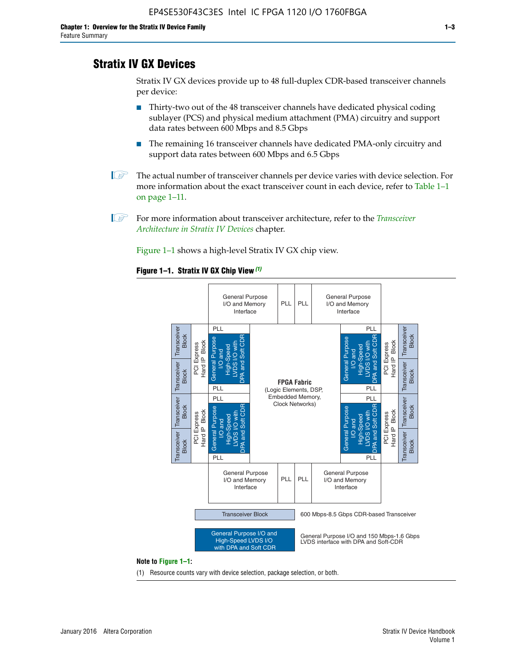# **Stratix IV GX Devices**

Stratix IV GX devices provide up to 48 full-duplex CDR-based transceiver channels per device:

- Thirty-two out of the 48 transceiver channels have dedicated physical coding sublayer (PCS) and physical medium attachment (PMA) circuitry and support data rates between 600 Mbps and 8.5 Gbps
- The remaining 16 transceiver channels have dedicated PMA-only circuitry and support data rates between 600 Mbps and 6.5 Gbps
- **1 The actual number of transceiver channels per device varies with device selection. For** more information about the exact transceiver count in each device, refer to Table 1–1 on page 1–11.
- 1 For more information about transceiver architecture, refer to the *[Transceiver](http://www.altera.com/literature/hb/stratix-iv/stx4_siv52001.pdf)  [Architecture in Stratix IV Devices](http://www.altera.com/literature/hb/stratix-iv/stx4_siv52001.pdf)* chapter.

Figure 1–1 shows a high-level Stratix IV GX chip view.

#### **Figure 1–1. Stratix IV GX Chip View** *(1)*



#### **Note to Figure 1–1:**

(1) Resource counts vary with device selection, package selection, or both.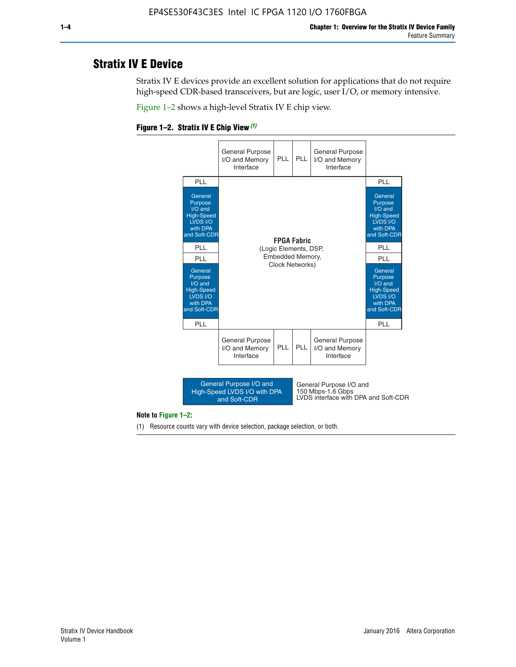# **Stratix IV E Device**

Stratix IV E devices provide an excellent solution for applications that do not require high-speed CDR-based transceivers, but are logic, user I/O, or memory intensive.

Figure 1–2 shows a high-level Stratix IV E chip view.

#### **Figure 1–2. Stratix IV E Chip View** *(1)*



#### **Note to Figure 1–2:**

(1) Resource counts vary with device selection, package selection, or both.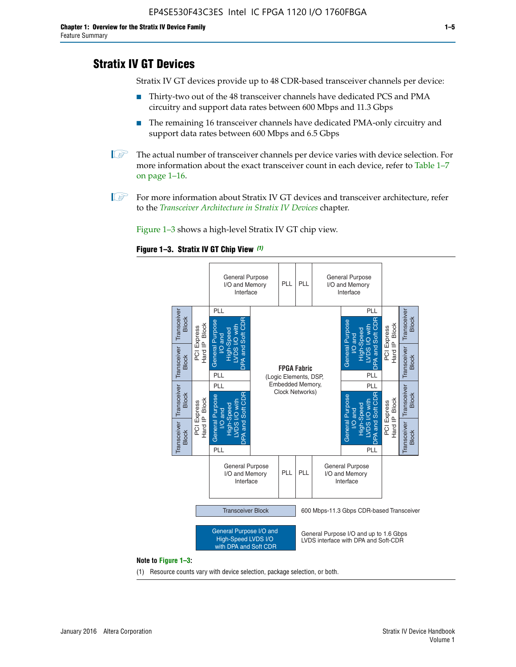# **Stratix IV GT Devices**

Stratix IV GT devices provide up to 48 CDR-based transceiver channels per device:

- Thirty-two out of the 48 transceiver channels have dedicated PCS and PMA circuitry and support data rates between 600 Mbps and 11.3 Gbps
- The remaining 16 transceiver channels have dedicated PMA-only circuitry and support data rates between 600 Mbps and 6.5 Gbps
- **1** The actual number of transceiver channels per device varies with device selection. For more information about the exact transceiver count in each device, refer to Table 1–7 on page 1–16.
- $\mathbb{I}$  For more information about Stratix IV GT devices and transceiver architecture, refer to the *[Transceiver Architecture in Stratix IV Devices](http://www.altera.com/literature/hb/stratix-iv/stx4_siv52001.pdf)* chapter.

Figure 1–3 shows a high-level Stratix IV GT chip view.

#### **Figure 1–3. Stratix IV GT Chip View** *(1)*



#### **Note to Figure 1–3:**

(1) Resource counts vary with device selection, package selection, or both.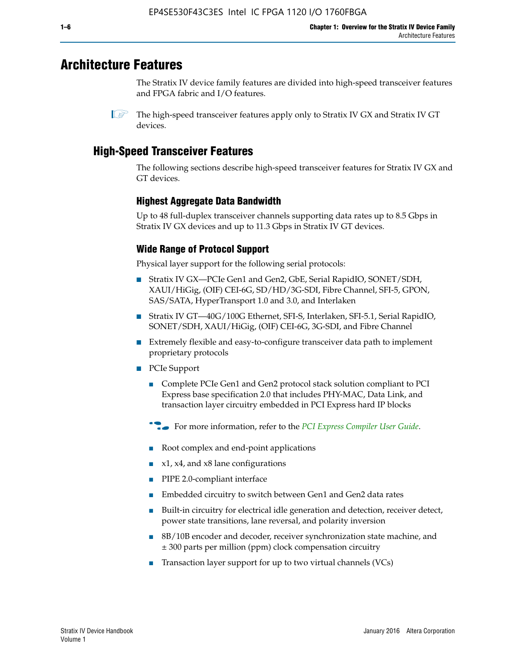# **Architecture Features**

The Stratix IV device family features are divided into high-speed transceiver features and FPGA fabric and I/O features.

# **High-Speed Transceiver Features**

The following sections describe high-speed transceiver features for Stratix IV GX and GT devices.

## **Highest Aggregate Data Bandwidth**

Up to 48 full-duplex transceiver channels supporting data rates up to 8.5 Gbps in Stratix IV GX devices and up to 11.3 Gbps in Stratix IV GT devices.

# **Wide Range of Protocol Support**

Physical layer support for the following serial protocols:

- Stratix IV GX—PCIe Gen1 and Gen2, GbE, Serial RapidIO, SONET/SDH, XAUI/HiGig, (OIF) CEI-6G, SD/HD/3G-SDI, Fibre Channel, SFI-5, GPON, SAS/SATA, HyperTransport 1.0 and 3.0, and Interlaken
- Stratix IV GT—40G/100G Ethernet, SFI-S, Interlaken, SFI-5.1, Serial RapidIO, SONET/SDH, XAUI/HiGig, (OIF) CEI-6G, 3G-SDI, and Fibre Channel
- Extremely flexible and easy-to-configure transceiver data path to implement proprietary protocols
- PCIe Support
	- Complete PCIe Gen1 and Gen2 protocol stack solution compliant to PCI Express base specification 2.0 that includes PHY-MAC, Data Link, and transaction layer circuitry embedded in PCI Express hard IP blocks
	- **For more information, refer to the [PCI Express Compiler User Guide](http://www.altera.com/literature/ug/ug_pci_express.pdf).**
	- Root complex and end-point applications
	- $x1, x4,$  and  $x8$  lane configurations
	- PIPE 2.0-compliant interface
	- Embedded circuitry to switch between Gen1 and Gen2 data rates
	- Built-in circuitry for electrical idle generation and detection, receiver detect, power state transitions, lane reversal, and polarity inversion
	- 8B/10B encoder and decoder, receiver synchronization state machine, and ± 300 parts per million (ppm) clock compensation circuitry
	- Transaction layer support for up to two virtual channels (VCs)

 $\mathbb{I}$  The high-speed transceiver features apply only to Stratix IV GX and Stratix IV GT devices.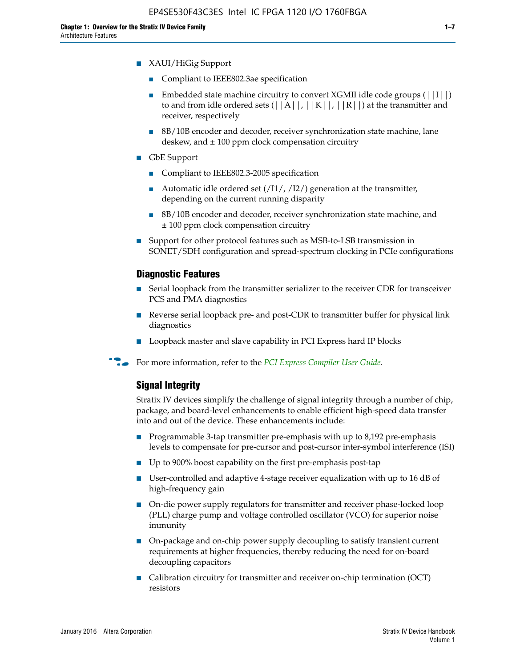- XAUI/HiGig Support
	- Compliant to IEEE802.3ae specification
	- **■** Embedded state machine circuitry to convert XGMII idle code groups  $(|11|)$ to and from idle ordered sets  $(|A|, |K|, |R|)$  at the transmitter and receiver, respectively
	- 8B/10B encoder and decoder, receiver synchronization state machine, lane deskew, and  $\pm 100$  ppm clock compensation circuitry
- GbE Support
	- Compliant to IEEE802.3-2005 specification
	- Automatic idle ordered set  $(111/112/1)$  generation at the transmitter, depending on the current running disparity
	- 8B/10B encoder and decoder, receiver synchronization state machine, and ± 100 ppm clock compensation circuitry
- Support for other protocol features such as MSB-to-LSB transmission in SONET/SDH configuration and spread-spectrum clocking in PCIe configurations

#### **Diagnostic Features**

- Serial loopback from the transmitter serializer to the receiver CDR for transceiver PCS and PMA diagnostics
- Reverse serial loopback pre- and post-CDR to transmitter buffer for physical link diagnostics
- Loopback master and slave capability in PCI Express hard IP blocks
- **For more information, refer to the** *[PCI Express Compiler User Guide](http://www.altera.com/literature/ug/ug_pci_express.pdf)***.**

#### **Signal Integrity**

Stratix IV devices simplify the challenge of signal integrity through a number of chip, package, and board-level enhancements to enable efficient high-speed data transfer into and out of the device. These enhancements include:

- Programmable 3-tap transmitter pre-emphasis with up to 8,192 pre-emphasis levels to compensate for pre-cursor and post-cursor inter-symbol interference (ISI)
- Up to 900% boost capability on the first pre-emphasis post-tap
- User-controlled and adaptive 4-stage receiver equalization with up to 16 dB of high-frequency gain
- On-die power supply regulators for transmitter and receiver phase-locked loop (PLL) charge pump and voltage controlled oscillator (VCO) for superior noise immunity
- On-package and on-chip power supply decoupling to satisfy transient current requirements at higher frequencies, thereby reducing the need for on-board decoupling capacitors
- Calibration circuitry for transmitter and receiver on-chip termination (OCT) resistors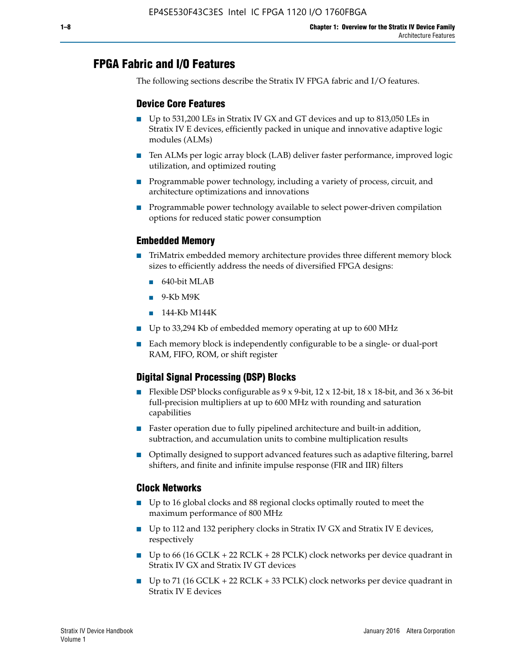# **FPGA Fabric and I/O Features**

The following sections describe the Stratix IV FPGA fabric and I/O features.

### **Device Core Features**

- Up to 531,200 LEs in Stratix IV GX and GT devices and up to 813,050 LEs in Stratix IV E devices, efficiently packed in unique and innovative adaptive logic modules (ALMs)
- Ten ALMs per logic array block (LAB) deliver faster performance, improved logic utilization, and optimized routing
- Programmable power technology, including a variety of process, circuit, and architecture optimizations and innovations
- Programmable power technology available to select power-driven compilation options for reduced static power consumption

### **Embedded Memory**

- TriMatrix embedded memory architecture provides three different memory block sizes to efficiently address the needs of diversified FPGA designs:
	- 640-bit MLAB
	- 9-Kb M9K
	- 144-Kb M144K
- Up to 33,294 Kb of embedded memory operating at up to 600 MHz
- Each memory block is independently configurable to be a single- or dual-port RAM, FIFO, ROM, or shift register

# **Digital Signal Processing (DSP) Blocks**

- Flexible DSP blocks configurable as  $9 \times 9$ -bit,  $12 \times 12$ -bit,  $18 \times 18$ -bit, and  $36 \times 36$ -bit full-precision multipliers at up to 600 MHz with rounding and saturation capabilities
- Faster operation due to fully pipelined architecture and built-in addition, subtraction, and accumulation units to combine multiplication results
- Optimally designed to support advanced features such as adaptive filtering, barrel shifters, and finite and infinite impulse response (FIR and IIR) filters

#### **Clock Networks**

- Up to 16 global clocks and 88 regional clocks optimally routed to meet the maximum performance of 800 MHz
- Up to 112 and 132 periphery clocks in Stratix IV GX and Stratix IV E devices, respectively
- Up to 66 (16 GCLK + 22 RCLK + 28 PCLK) clock networks per device quadrant in Stratix IV GX and Stratix IV GT devices
- Up to 71 (16 GCLK + 22 RCLK + 33 PCLK) clock networks per device quadrant in Stratix IV E devices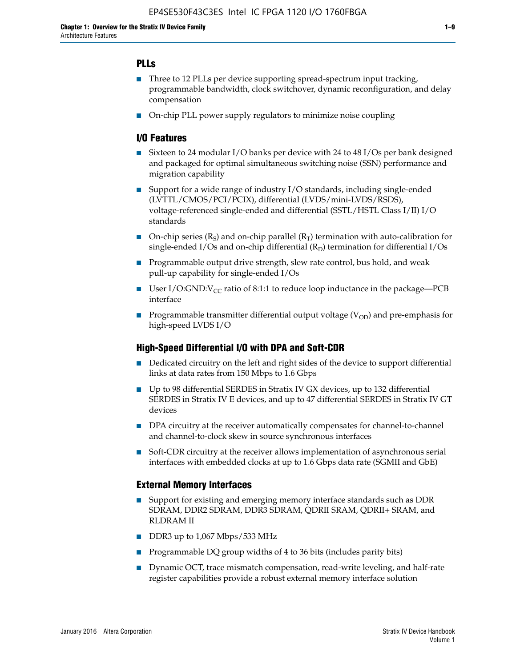# **PLLs**

- Three to 12 PLLs per device supporting spread-spectrum input tracking, programmable bandwidth, clock switchover, dynamic reconfiguration, and delay compensation
- On-chip PLL power supply regulators to minimize noise coupling

### **I/O Features**

- Sixteen to 24 modular I/O banks per device with 24 to 48 I/Os per bank designed and packaged for optimal simultaneous switching noise (SSN) performance and migration capability
- Support for a wide range of industry I/O standards, including single-ended (LVTTL/CMOS/PCI/PCIX), differential (LVDS/mini-LVDS/RSDS), voltage-referenced single-ended and differential (SSTL/HSTL Class I/II) I/O standards
- **O**n-chip series  $(R_S)$  and on-chip parallel  $(R_T)$  termination with auto-calibration for single-ended I/Os and on-chip differential  $(R_D)$  termination for differential I/Os
- Programmable output drive strength, slew rate control, bus hold, and weak pull-up capability for single-ended I/Os
- User I/O:GND: $V_{CC}$  ratio of 8:1:1 to reduce loop inductance in the package—PCB interface
- **■** Programmable transmitter differential output voltage ( $V_{OD}$ ) and pre-emphasis for high-speed LVDS I/O

#### **High-Speed Differential I/O with DPA and Soft-CDR**

- Dedicated circuitry on the left and right sides of the device to support differential links at data rates from 150 Mbps to 1.6 Gbps
- Up to 98 differential SERDES in Stratix IV GX devices, up to 132 differential SERDES in Stratix IV E devices, and up to 47 differential SERDES in Stratix IV GT devices
- DPA circuitry at the receiver automatically compensates for channel-to-channel and channel-to-clock skew in source synchronous interfaces
- Soft-CDR circuitry at the receiver allows implementation of asynchronous serial interfaces with embedded clocks at up to 1.6 Gbps data rate (SGMII and GbE)

#### **External Memory Interfaces**

- Support for existing and emerging memory interface standards such as DDR SDRAM, DDR2 SDRAM, DDR3 SDRAM, QDRII SRAM, QDRII+ SRAM, and RLDRAM II
- DDR3 up to 1,067 Mbps/533 MHz
- Programmable DQ group widths of 4 to 36 bits (includes parity bits)
- Dynamic OCT, trace mismatch compensation, read-write leveling, and half-rate register capabilities provide a robust external memory interface solution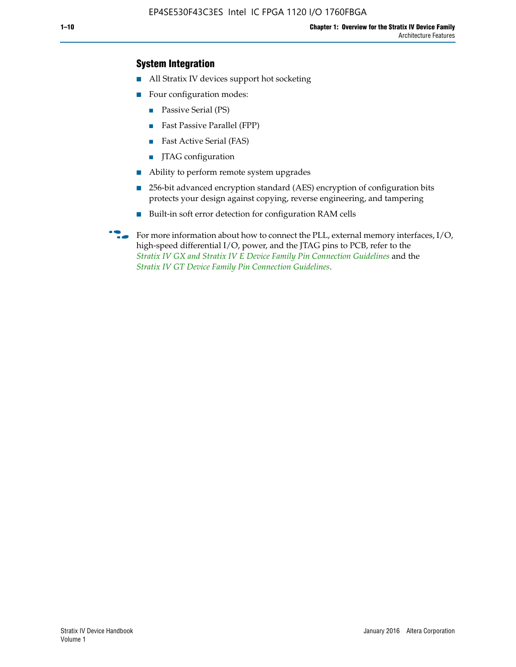## **System Integration**

- All Stratix IV devices support hot socketing
- Four configuration modes:
	- Passive Serial (PS)
	- Fast Passive Parallel (FPP)
	- Fast Active Serial (FAS)
	- JTAG configuration
- Ability to perform remote system upgrades
- 256-bit advanced encryption standard (AES) encryption of configuration bits protects your design against copying, reverse engineering, and tampering
- Built-in soft error detection for configuration RAM cells
- For more information about how to connect the PLL, external memory interfaces,  $I/O$ , high-speed differential I/O, power, and the JTAG pins to PCB, refer to the *[Stratix IV GX and Stratix IV E Device Family Pin Connection Guidelines](http://www.altera.com/literature/dp/stratix4/PCG-01005.pdf)* and the *[Stratix IV GT Device Family Pin Connection Guidelines](http://www.altera.com/literature/dp/stratix4/PCG-01006.pdf)*.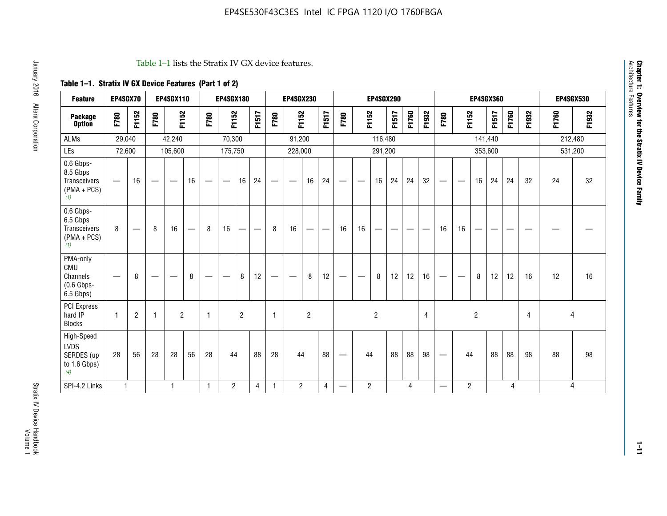#### Table 1–1 lists the Stratix IV GX device features.

# **Table 1–1. Stratix IV GX Device Features (Part 1 of 2)**

| <b>Feature</b>                                                       | EP4SGX70     |                               |      | <b>EP4SGX110</b>  |                   |      | <b>EP4SGX180</b>                |                |       |                                 | <b>EP4SGX230</b>              |                |                                   |                                 |                | <b>EP4SGX290</b>         |       |       |                |                                   |                               |                | <b>EP4SGX360</b> |       |                |       | <b>EP4SGX530</b> |
|----------------------------------------------------------------------|--------------|-------------------------------|------|-------------------|-------------------|------|---------------------------------|----------------|-------|---------------------------------|-------------------------------|----------------|-----------------------------------|---------------------------------|----------------|--------------------------|-------|-------|----------------|-----------------------------------|-------------------------------|----------------|------------------|-------|----------------|-------|------------------|
| <b>Package</b><br><b>Option</b>                                      | F780         | F1152                         | F780 | F1152             |                   | F780 | F1152                           |                | F1517 | F780                            | F1152                         |                | F1517                             | F780                            | F1152          |                          | F1517 | F1760 | F1932          | F780                              | F1152                         |                | F1517            | F1760 | F1932          | F1760 | F1932            |
| <b>ALMs</b>                                                          | 29,040       |                               |      | 42,240            |                   |      | 70,300                          |                |       |                                 | 91,200                        |                |                                   |                                 |                | 116,480                  |       |       |                |                                   |                               | 141,440        |                  |       |                |       | 212,480          |
| LEs                                                                  | 72,600       |                               |      | 105,600           |                   |      | 175,750                         |                |       |                                 | 228,000                       |                |                                   |                                 |                | 291,200                  |       |       |                |                                   |                               |                | 353,600          |       |                |       | 531,200          |
| 0.6 Gbps-<br>8.5 Gbps<br>Transceivers<br>$(PMA + PCs)$<br>(1)        | —            | 16                            |      | $\hspace{0.05cm}$ | 16                | —    | $\hspace{0.1mm}-\hspace{0.1mm}$ | 16             | 24    | $\hspace{0.1mm}-\hspace{0.1mm}$ | $\overbrace{\phantom{aaaaa}}$ | 16             | 24                                | $\hspace{0.05cm}$               |                | 16                       | 24    | 24    | 32             | $\overbrace{\phantom{123221111}}$ | $\overbrace{\phantom{aaaaa}}$ | 16             | 24               | 24    | 32             | 24    | 32               |
| 0.6 Gbps-<br>6.5 Gbps<br><b>Transceivers</b><br>$(PMA + PCs)$<br>(1) | 8            | $\overbrace{\phantom{aaaaa}}$ | 8    | 16                | $\qquad \qquad -$ | 8    | 16                              | -              | —     | 8                               | 16                            | —              | $\overbrace{\phantom{123221111}}$ | 16                              | 16             | $\overline{\phantom{0}}$ |       |       |                | 16                                | 16                            | —              |                  |       |                |       |                  |
| PMA-only<br>CMU<br>Channels<br>$(0.6$ Gbps-<br>6.5 Gbps)             |              | 8                             |      |                   | 8                 | —    | —                               | 8              | 12    |                                 | $\overline{\phantom{m}}$      | 8              | 12                                | $\hspace{0.1mm}-\hspace{0.1mm}$ | -              | 8                        | 12    | 12    | 16             |                                   | $\overbrace{\phantom{aaaaa}}$ | 8              | 12               | 12    | 16             | 12    | 16               |
| PCI Express<br>hard IP<br><b>Blocks</b>                              | $\mathbf{1}$ | $\overline{c}$                | -1   | $\overline{2}$    |                   | 1    |                                 | $\overline{2}$ |       | $\mathbf{1}$                    |                               | $\overline{c}$ |                                   |                                 |                | $\overline{c}$           |       |       | $\overline{4}$ |                                   |                               | $\overline{c}$ |                  |       | $\overline{4}$ | 4     |                  |
| High-Speed<br><b>LVDS</b><br>SERDES (up<br>to 1.6 Gbps)<br>(4)       | 28           | 56                            | 28   | 28                | 56                | 28   | 44                              |                | 88    | 28                              | 44                            |                | 88                                | —                               | 44             |                          | 88    | 88    | 98             |                                   | 44                            |                | 88               | 88    | 98             | 88    | 98               |
| SPI-4.2 Links                                                        | $\mathbf{1}$ |                               |      | 1                 |                   | 1    | $\overline{c}$                  |                | 4     | 1                               | $\overline{2}$                |                | 4                                 | —                               | $\overline{c}$ |                          |       | 4     |                | $\overline{\phantom{0}}$          | 2                             |                |                  | 4     |                |       | 4                |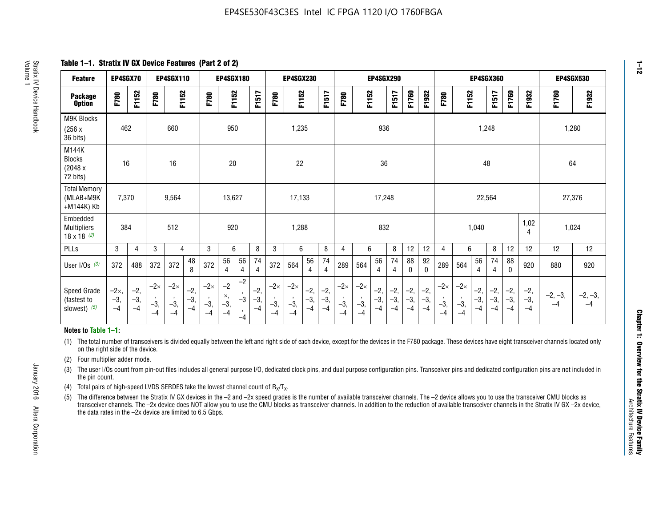**Table 1–1. Stratix IV GX Device Features (Part 2 of 2)**

| <b>Feature</b>                                       | EP4SGX70                |                        |                             | <b>EP4SGX110</b>            |                      |                             | <b>EP4SGX180</b>          |                      |                        |                             | <b>EP4SGX230</b>            |                      |                      |                            |                             | EP4SGX290              |                      |                      |                        |                             |                             |                        | <b>EP4SGX360</b>      |                      |                        | <b>EP4SGX530</b>  |                 |
|------------------------------------------------------|-------------------------|------------------------|-----------------------------|-----------------------------|----------------------|-----------------------------|---------------------------|----------------------|------------------------|-----------------------------|-----------------------------|----------------------|----------------------|----------------------------|-----------------------------|------------------------|----------------------|----------------------|------------------------|-----------------------------|-----------------------------|------------------------|-----------------------|----------------------|------------------------|-------------------|-----------------|
| <b>Package</b><br><b>Option</b>                      | F780                    | F1152                  | F780                        | F1152                       |                      | F780                        | F1152                     |                      | F1517                  | F780                        | F1152                       |                      | F1517                | F780                       | F1152                       |                        | F1517                | F1760                | F1932                  | F780                        | F1152                       |                        | F1517                 | F1760                | F1932                  | F1760             | F1932           |
| M9K Blocks<br>(256x)<br>36 bits)                     | 462                     |                        |                             | 660                         |                      |                             | 950                       |                      |                        |                             | 1,235                       |                      |                      |                            |                             | 936                    |                      |                      |                        |                             |                             | 1,248                  |                       |                      |                        |                   | 1,280           |
| M144K<br><b>Blocks</b><br>(2048 x<br>72 bits)        | 16                      |                        |                             | 16                          |                      |                             | 20                        |                      |                        |                             | 22                          |                      |                      |                            |                             | 36                     |                      |                      |                        |                             |                             | 48                     |                       |                      |                        | 64                |                 |
| <b>Total Memory</b><br>(MLAB+M9K<br>+M144K) Kb       | 7,370                   |                        |                             | 9,564                       |                      |                             | 13,627                    |                      |                        |                             | 17,133                      |                      |                      |                            |                             | 17,248                 |                      |                      |                        |                             |                             | 22,564                 |                       |                      |                        | 27,376            |                 |
| Embedded<br><b>Multipliers</b><br>$18 \times 18$ (2) | 384                     |                        |                             | 512                         |                      |                             | 920                       |                      |                        |                             | 1,288                       |                      |                      |                            |                             | 832                    |                      |                      |                        |                             |                             | 1,040                  |                       |                      | 1,02<br>4              | 1,024             |                 |
| PLLs                                                 | 3                       | $\overline{4}$         | 3                           | 4                           |                      | 3                           | 6                         |                      | 8                      | 3                           | 6                           |                      | 8                    | 4                          | 6                           |                        | 8                    | 12                   | 12                     | 4                           | 6                           |                        | 8                     | 12                   | 12                     | 12                | 12              |
| User $I/Os$ (3)                                      | 372                     | 488                    | 372                         | 372                         | 48<br>8              | 372                         | 56<br>4                   | 56<br>4              | 74<br>4                | 372                         | 564                         | 56<br>$\overline{4}$ | 74<br>$\overline{4}$ | 289                        | 564                         | 56<br>4                | 74<br>4              | 88<br>0              | 92<br>$\mathbf 0$      | 289                         | 564                         | 56<br>4                | 74<br>4               | 88<br>$\mathbf{0}$   | 920                    | 880               | 920             |
| Speed Grade<br>(fastest to<br>slowest) (5)           | $-2x,$<br>$-3,$<br>$-4$ | $-2,$<br>$-3,$<br>$-4$ | $-2\times$<br>$-3,$<br>$-4$ | $-2\times$<br>$-3,$<br>$-4$ | $-2,$<br>-3,<br>$-4$ | $-2\times$<br>$-3,$<br>$-4$ | $-2$<br>×,<br>$-3,$<br>-4 | $-2$<br>$-3$<br>$-4$ | $-2,$<br>$-3,$<br>$-4$ | $-2\times$<br>$-3,$<br>$-4$ | $-2\times$<br>$-3,$<br>$-4$ | $-2,$<br>-3,<br>$-4$ | $-2,$<br>-3,<br>$-4$ | $-2\times$<br>$-3$<br>$-4$ | $-2\times$<br>$-3,$<br>$-4$ | $-2,$<br>$-3,$<br>$-4$ | $-2,$<br>-3,<br>$-4$ | $-2,$<br>-3,<br>$-4$ | $-2,$<br>$-3,$<br>$-4$ | $-2\times$<br>$-3,$<br>$-4$ | $-2\times$<br>$-3,$<br>$-4$ | $-2,$<br>$-3,$<br>$-4$ | $-2,$<br>$-3$<br>$-4$ | $-2,$<br>-3,<br>$-4$ | $-2,$<br>$-3,$<br>$-4$ | $-2, -3,$<br>$-4$ | $-2, -3,$<br>-4 |

#### **Notes to Table 1–1:**

(1) The total number of transceivers is divided equally between the left and right side of each device, except for the devices in the F780 package. These devices have eight transceiver channels located only on the right side of the device.

- (2) Four multiplier adder mode.
- (3) The user I/Os count from pin-out files includes all general purpose I/O, dedicated clock pins, and dual purpose configuration pins. Transceiver pins and dedicated configuration pins are not included in the pin count.
- (4) Total pairs of high-speed LVDS SERDES take the lowest channel count of  $R_X/T_X$ .
- (5) The difference between the Stratix IV GX devices in the –2 and –2x speed grades is the number of available transceiver channels. The –2 device allows you to use the transceiver CMU blocks as transceiver channels. The –2x device does NOT allow you to use the CMU blocks as transceiver channels. In addition to the reduction of available transceiver channels in the Stratix IV GX –2x device, the data rates in the –2x device are limited to 6.5 Gbps.

January 2016 Altera Corporation

Altera Corporation

January 2016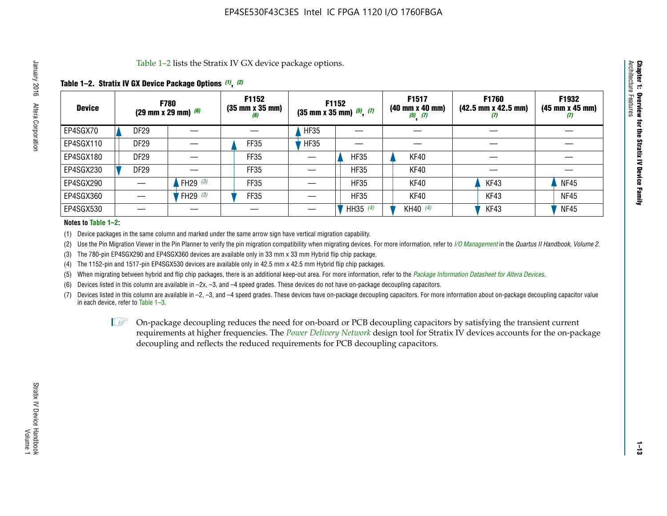Table 1–2 lists the Stratix IV GX device package options.

#### **Table 1–2. Stratix IV GX Device Package Options** *(1)***,** *(2)*

| <b>Device</b> |                  | <b>F780</b><br>(29 mm x 29 mm) $(6)$ | F1152<br>$(35 \, \text{mm} \times 35 \, \text{mm})$<br>(6) |             | <b>F1152</b><br>$(35 \text{ mm} \times 35 \text{ mm})$ $(5)$ , $(7)$ | F1517<br>(40 mm x 40 mm)<br>$(5)$ $(7)$ | <b>F1760</b><br>$(42.5 \text{ mm} \times 42.5 \text{ mm})$<br>(I) | F1932<br>$(45 \, \text{mm} \times 45 \, \text{mm})$<br>(7) |
|---------------|------------------|--------------------------------------|------------------------------------------------------------|-------------|----------------------------------------------------------------------|-----------------------------------------|-------------------------------------------------------------------|------------------------------------------------------------|
| EP4SGX70      | <b>DF29</b>      |                                      |                                                            | <b>HF35</b> |                                                                      |                                         |                                                                   |                                                            |
| EP4SGX110     | <b>DF29</b>      |                                      | FF35                                                       | <b>HF35</b> |                                                                      |                                         |                                                                   |                                                            |
| EP4SGX180     | DF <sub>29</sub> |                                      | FF35                                                       |             | <b>HF35</b>                                                          | KF40                                    |                                                                   |                                                            |
| EP4SGX230     | DF <sub>29</sub> |                                      | FF35                                                       |             | <b>HF35</b>                                                          | KF40                                    |                                                                   |                                                            |
| EP4SGX290     |                  | FH29 $(3)$                           | FF35                                                       |             | <b>HF35</b>                                                          | KF40                                    | KF43                                                              | <b>NF45</b>                                                |
| EP4SGX360     |                  | FH29 (3)                             | FF35                                                       |             | <b>HF35</b>                                                          | KF40                                    | KF43                                                              | <b>NF45</b>                                                |
| EP4SGX530     |                  |                                      |                                                            |             | HH35 (4)                                                             | KH40 (4)                                | KF43                                                              | <b>NF45</b>                                                |

#### **Notes to Table 1–2:**

(1) Device packages in the same column and marked under the same arrow sign have vertical migration capability.

(2) Use the Pin Migration Viewer in the Pin Planner to verify the pin migration compatibility when migrating devices. For more information, refer to *[I/O Management](http://www.altera.com/literature/hb/qts/qts_qii52013.pdf)* in the *Quartus II Handbook, Volume 2*.

(3) The 780-pin EP4SGX290 and EP4SGX360 devices are available only in 33 mm x 33 mm Hybrid flip chip package.

(4) The 1152-pin and 1517-pin EP4SGX530 devices are available only in 42.5 mm x 42.5 mm Hybrid flip chip packages.

(5) When migrating between hybrid and flip chip packages, there is an additional keep-out area. For more information, refer to the *[Package Information Datasheet for Altera Devices](http://www.altera.com/literature/ds/dspkg.pdf)*.

(6) Devices listed in this column are available in –2x, –3, and –4 speed grades. These devices do not have on-package decoupling capacitors.

(7) Devices listed in this column are available in –2, –3, and –4 speed grades. These devices have on-package decoupling capacitors. For more information about on-package decoupling capacitor value in each device, refer to Table 1–3.

 $\mathbb{L}$ s On-package decoupling reduces the need for on-board or PCB decoupling capacitors by satisfying the transient current requirements at higher frequencies. The *[Power Delivery Network](http://www.altera.com/literature/ug/pdn_tool_stxiv.zip)* design tool for Stratix IV devices accounts for the on-package decoupling and reflects the reduced requirements for PCB decoupling capacitors.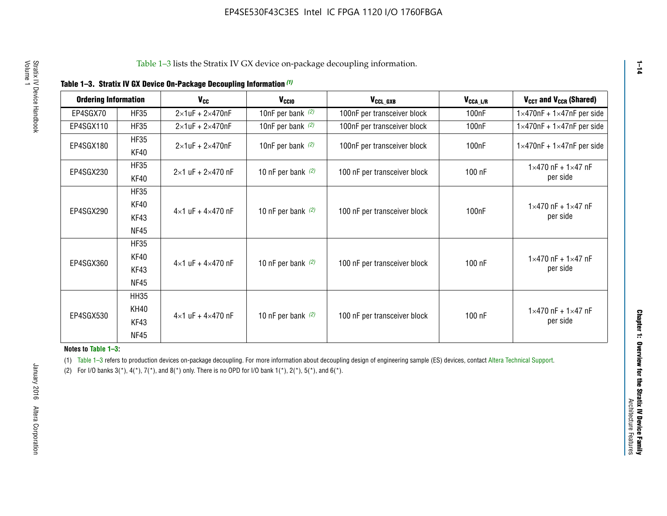| <b>Ordering Information</b> |                            | <b>V<sub>cc</sub></b>               | V <sub>ccio</sub>    | V <sub>CCL GXB</sub>         | V <sub>CCA_L/R</sub> | V <sub>CCT</sub> and V <sub>CCR</sub> (Shared)   |
|-----------------------------|----------------------------|-------------------------------------|----------------------|------------------------------|----------------------|--------------------------------------------------|
| EP4SGX70                    | <b>HF35</b>                | $2\times1$ uF + $2\times470$ nF     | 10nF per bank $(2)$  | 100nF per transceiver block  | 100 <sub>n</sub> F   | $1 \times 470$ nF + $1 \times 47$ nF per side    |
| EP4SGX110                   | <b>HF35</b>                | $2\times1$ uF + $2\times470$ nF     | 10nF per bank $(2)$  | 100nF per transceiver block  | 100 <sub>n</sub> F   | $1\times470$ nF + $1\times47$ nF per side        |
| EP4SGX180                   | <b>HF35</b><br>KF40        | $2\times1$ uF + $2\times470$ nF     | 10nF per bank $(2)$  | 100nF per transceiver block  | 100 <sub>nF</sub>    | $1 \times 470$ nF + $1 \times 47$ nF per side    |
| EP4SGX230                   | <b>HF35</b><br>KF40        | $2 \times 1$ uF + $2 \times 470$ nF | 10 nF per bank $(2)$ | 100 nF per transceiver block | 100 nF               | $1 \times 470$ nF + $1 \times 47$ nF<br>per side |
|                             | <b>HF35</b><br><b>KF40</b> |                                     |                      |                              |                      | $1 \times 470$ nF + $1 \times 47$ nF             |
| EP4SGX290                   | KF43<br><b>NF45</b>        | $4 \times 1$ uF + $4 \times 470$ nF | 10 nF per bank $(2)$ | 100 nF per transceiver block | 100nF                | per side                                         |
|                             | <b>HF35</b><br>KF40        |                                     |                      |                              |                      | $1 \times 470$ nF + $1 \times 47$ nF             |
| EP4SGX360                   | KF43<br><b>NF45</b>        | $4 \times 1$ uF + $4 \times 470$ nF | 10 nF per bank $(2)$ | 100 nF per transceiver block | 100 nF               | per side                                         |
|                             | <b>HH35</b>                |                                     |                      |                              |                      |                                                  |
| EP4SGX530                   | <b>KH40</b><br>KF43        | $4 \times 1$ uF + $4 \times 470$ nF | 10 nF per bank $(2)$ | 100 nF per transceiver block | 100 nF               | $1 \times 470$ nF + $1 \times 47$ nF<br>per side |
|                             | <b>NF45</b>                |                                     |                      |                              |                      |                                                  |

**Notes to Table 1–3:**

(1) Table 1-3 refers to production devices on-package decoupling. For more information about decoupling design of engineering sample (ES) devices, contact [Altera Technical Support](http://mysupport.altera.com/eservice/login.asp).

(2) For I/O banks  $3(*)$ ,  $4(*)$ ,  $7(*)$ , and  $8(*)$  only. There is no OPD for I/O bank  $1(*)$ ,  $2(*)$ ,  $5(*)$ , and  $6(*)$ .

**1–14**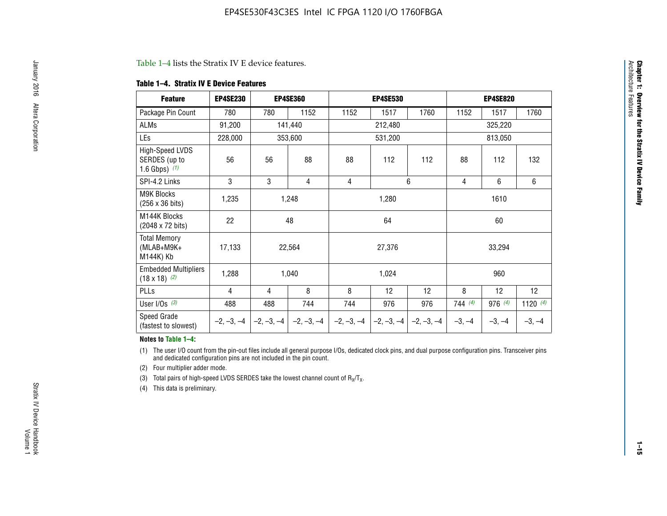#### Table 1–4 lists the Stratix IV E device features.

#### **Table 1–4. Stratix IV E Device Features**

| <b>Feature</b>                                      | <b>EP4SE230</b> |     | <b>EP4SE360</b>                        |              | <b>EP4SE530</b> |              |          | <b>EP4SE820</b> |            |  |
|-----------------------------------------------------|-----------------|-----|----------------------------------------|--------------|-----------------|--------------|----------|-----------------|------------|--|
| Package Pin Count                                   | 780             | 780 | 1152                                   | 1152         | 1517            | 1760         | 1152     | 1517            | 1760       |  |
| ALMs                                                | 91,200          |     | 141,440                                |              | 212,480         |              |          | 325,220         |            |  |
| LEs                                                 | 228,000         |     | 353,600                                |              | 531,200         |              |          | 813,050         |            |  |
| High-Speed LVDS<br>SERDES (up to<br>1.6 Gbps) $(1)$ | 56              | 56  | 88                                     | 88           | 112             | 112          | 88       | 112             | 132        |  |
| SPI-4.2 Links                                       | 3               | 3   | 4                                      | 4            |                 | 6            | 4        | 6               | 6          |  |
| <b>M9K Blocks</b><br>(256 x 36 bits)                | 1,235           |     | 1,248                                  |              | 1,280           |              | 1610     |                 |            |  |
| M144K Blocks<br>(2048 x 72 bits)                    | 22              |     | 48                                     |              | 64              |              | 60       |                 |            |  |
| <b>Total Memory</b><br>$(MLAB+M9K+$<br>M144K) Kb    | 17,133          |     | 22,564                                 |              | 27,376          |              |          | 33,294          |            |  |
| <b>Embedded Multipliers</b><br>$(18 \times 18)$ (2) | 1,288           |     | 1,040                                  |              | 1,024           |              |          | 960             |            |  |
| PLLs                                                | 4               | 4   | 8                                      | 8            | 12              | 12           | 8        | 12              | 12         |  |
| User I/Os $(3)$                                     | 488             | 488 | 744                                    | 744          | 976             | 976          | 744(4)   | 976 (4)         | 1120 $(4)$ |  |
| Speed Grade<br>(fastest to slowest)                 |                 |     | $-2, -3, -4$ $-2, -3, -4$ $-2, -3, -4$ | $-2, -3, -4$ | $-2, -3, -4$    | $-2, -3, -4$ | $-3, -4$ | $-3, -4$        | $-3, -4$   |  |

#### **Notes to Table 1–4:**

(1) The user I/O count from the pin-out files include all general purpose I/Os, dedicated clock pins, and dual purpose configuration pins. Transceiver pins and dedicated configuration pins are not included in the pin count.

(2) Four multiplier adder mode.

(3) Total pairs of high-speed LVDS SERDES take the lowest channel count of  $R_X/T_X$ .

(4) This data is preliminary.

**Chapter 1: Overview for the Stratix IV Device Family**

**Chapter 1: Overview for the Stratix IV Device Family**<br>Architecture Faatures

Architecture Features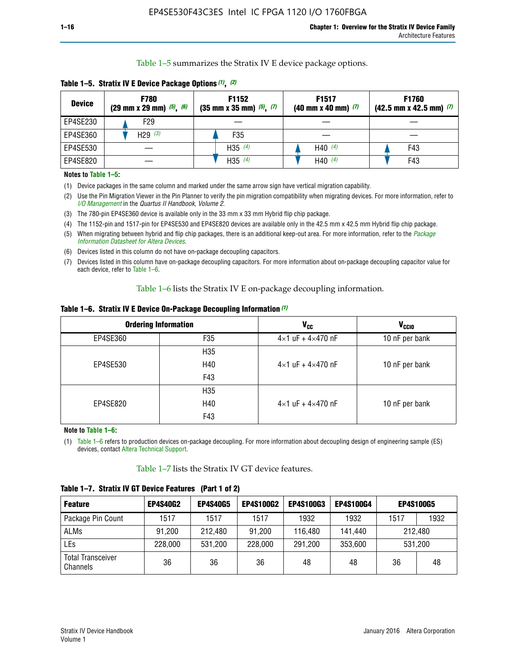Table 1–5 summarizes the Stratix IV E device package options.

| <b>Device</b> | <b>F780</b><br>$(29 \text{ mm} \times 29 \text{ mm})$ $(5)$ , $(6)$ | F1152<br>$(35 \text{ mm} \times 35 \text{ mm})$ $(5)$ $(7)$ | F <sub>1517</sub><br>$(40 \text{ mm} \times 40 \text{ mm})$ (7) | <b>F1760</b><br>$(42.5$ mm x 42.5 mm) $(7)$ |
|---------------|---------------------------------------------------------------------|-------------------------------------------------------------|-----------------------------------------------------------------|---------------------------------------------|
| EP4SE230      | F <sub>29</sub>                                                     |                                                             |                                                                 |                                             |
| EP4SE360      | H29 $(3)$                                                           | F35                                                         |                                                                 |                                             |
| EP4SE530      |                                                                     | H35 $(4)$                                                   | H40 $(4)$                                                       | F43                                         |
| EP4SE820      |                                                                     | H35 $(4)$                                                   | H40 $(4)$                                                       | F43                                         |

**Table 1–5. Stratix IV E Device Package Options** *(1)***,** *(2)*

#### **Notes to Table 1–5:**

(1) Device packages in the same column and marked under the same arrow sign have vertical migration capability.

(2) Use the Pin Migration Viewer in the Pin Planner to verify the pin migration compatibility when migrating devices. For more information, refer to *[I/O Management](http://www.altera.com/literature/hb/qts/qts_qii52013.pdf)* in the *Quartus II Handbook, Volume 2*.

(3) The 780-pin EP4SE360 device is available only in the 33 mm x 33 mm Hybrid flip chip package.

(4) The 1152-pin and 1517-pin for EP4SE530 and EP4SE820 devices are available only in the 42.5 mm x 42.5 mm Hybrid flip chip package.

(5) When migrating between hybrid and flip chip packages, there is an additional keep-out area. For more information, refer to the *[Package](http://www.altera.com/literature/ds/dspkg.pdf)  [Information Datasheet for Altera Devices](http://www.altera.com/literature/ds/dspkg.pdf)*.

(6) Devices listed in this column do not have on-package decoupling capacitors.

(7) Devices listed in this column have on-package decoupling capacitors. For more information about on-package decoupling capacitor value for each device, refer to Table 1–6.

Table 1–6 lists the Stratix IV E on-package decoupling information.

| Table 1–6. Stratix IV E Device On-Package Decoupling Information (1) |  |  |  |  |  |
|----------------------------------------------------------------------|--|--|--|--|--|
|----------------------------------------------------------------------|--|--|--|--|--|

|          | <b>Ordering Information</b> | V <sub>cc</sub>                     | <b>V<sub>CCIO</sub></b> |
|----------|-----------------------------|-------------------------------------|-------------------------|
| EP4SE360 | F <sub>35</sub>             | $4 \times 1$ uF + $4 \times 470$ nF | 10 nF per bank          |
|          | H35                         |                                     |                         |
| EP4SE530 | H40                         | $4\times1$ uF + $4\times470$ nF     | 10 nF per bank          |
|          | F43                         |                                     |                         |
|          | H35                         |                                     |                         |
| EP4SE820 | H40                         | $4\times1$ uF + $4\times470$ nF     | 10 nF per bank          |
|          | F43                         |                                     |                         |

**Note to Table 1–6:**

(1) Table 1–6 refers to production devices on-package decoupling. For more information about decoupling design of engineering sample (ES) devices, contact [Altera Technical Support](http://mysupport.altera.com/eservice/login.asp).

Table 1–7 lists the Stratix IV GT device features.

| <b>Feature</b>                       | <b>EP4S40G2</b> | <b>EP4S40G5</b> | <b>EP4S100G2</b> | <b>EP4S100G3</b> | <b>EP4S100G4</b> | <b>EP4S100G5</b> |         |
|--------------------------------------|-----------------|-----------------|------------------|------------------|------------------|------------------|---------|
| Package Pin Count                    | 1517            | 1517            | 1517             | 1932             | 1932             | 1517             | 1932    |
| <b>ALMs</b>                          | 91,200          | 212,480         | 91,200           | 116,480          | 141,440          | 212.480          |         |
| LEs                                  | 228,000         | 531,200         | 228,000          | 291,200          | 353,600          |                  | 531,200 |
| <b>Total Transceiver</b><br>Channels | 36              | 36              | 36               | 48               | 48               | 36               | 48      |

**Table 1–7. Stratix IV GT Device Features (Part 1 of 2)**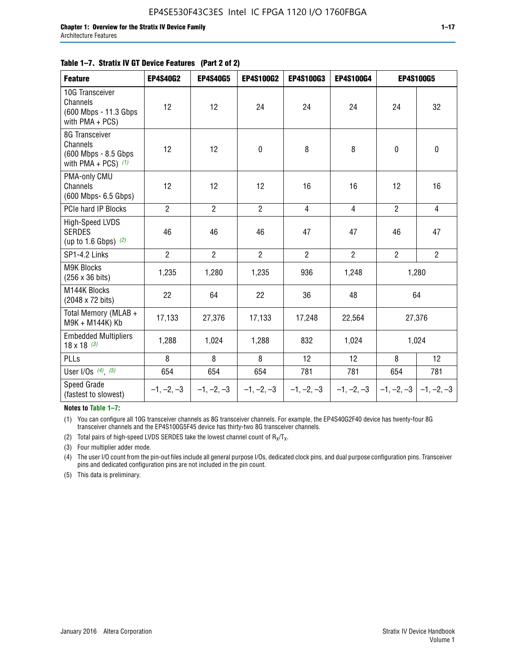| <b>Feature</b>                                                              | <b>EP4S40G2</b> | <b>EP4S40G5</b> | EP4S100G2      | <b>EP4S100G3</b> | EP4S100G4      |                | <b>EP4S100G5</b>          |
|-----------------------------------------------------------------------------|-----------------|-----------------|----------------|------------------|----------------|----------------|---------------------------|
| 10G Transceiver<br>Channels<br>(600 Mbps - 11.3 Gbps)<br>with PMA + PCS)    | 12              | 12              | 24             | 24               | 24             | 24             | 32                        |
| 8G Transceiver<br>Channels<br>(600 Mbps - 8.5 Gbps<br>with PMA + PCS) $(1)$ | 12              | 12              | 0              | 8                | 8              | $\mathbf 0$    | 0                         |
| PMA-only CMU<br>Channels<br>(600 Mbps- 6.5 Gbps)                            | 12              | 12              | 12             | 16               | 16             | 12             | 16                        |
| PCIe hard IP Blocks                                                         | $\overline{2}$  | $\overline{2}$  | $\overline{2}$ | $\overline{4}$   | $\overline{4}$ | $\overline{2}$ | $\overline{4}$            |
| <b>High-Speed LVDS</b><br><b>SERDES</b><br>(up to 1.6 Gbps) $(2)$           | 46              | 46              | 46             | 47               | 47             | 46             | 47                        |
| SP1-4.2 Links                                                               | $\overline{2}$  | $\overline{2}$  | $\overline{2}$ | $\overline{2}$   | $\overline{2}$ | $\overline{2}$ | $\overline{2}$            |
| <b>M9K Blocks</b><br>(256 x 36 bits)                                        | 1,235           | 1,280           | 1,235          | 936              | 1,248          |                | 1,280                     |
| M144K Blocks<br>(2048 x 72 bits)                                            | 22              | 64              | 22             | 36               | 48             |                | 64                        |
| Total Memory (MLAB +<br>M9K + M144K) Kb                                     | 17,133          | 27,376          | 17,133         | 17,248           | 22,564         |                | 27,376                    |
| <b>Embedded Multipliers</b><br>$18 \times 18^{(3)}$                         | 1,288           | 1,024           | 1,288          | 832              | 1,024          |                | 1,024                     |
| PLLs                                                                        | 8               | 8               | 8              | 12               | 12             | 8              | 12                        |
| User I/Os $(4)$ , $(5)$                                                     | 654             | 654             | 654            | 781              | 781            | 654            | 781                       |
| <b>Speed Grade</b><br>(fastest to slowest)                                  | $-1, -2, -3$    | $-1, -2, -3$    | $-1, -2, -3$   | $-1, -2, -3$     | $-1, -2, -3$   |                | $-1, -2, -3$ $-1, -2, -3$ |

**Notes to Table 1–7:**

(1) You can configure all 10G transceiver channels as 8G transceiver channels. For example, the EP4S40G2F40 device has twenty-four 8G transceiver channels and the EP4S100G5F45 device has thirty-two 8G transceiver channels.

(2) Total pairs of high-speed LVDS SERDES take the lowest channel count of  $R_X/T_X$ .

(3) Four multiplier adder mode.

(4) The user I/O count from the pin-out files include all general purpose I/Os, dedicated clock pins, and dual purpose configuration pins. Transceiver pins and dedicated configuration pins are not included in the pin count.

(5) This data is preliminary.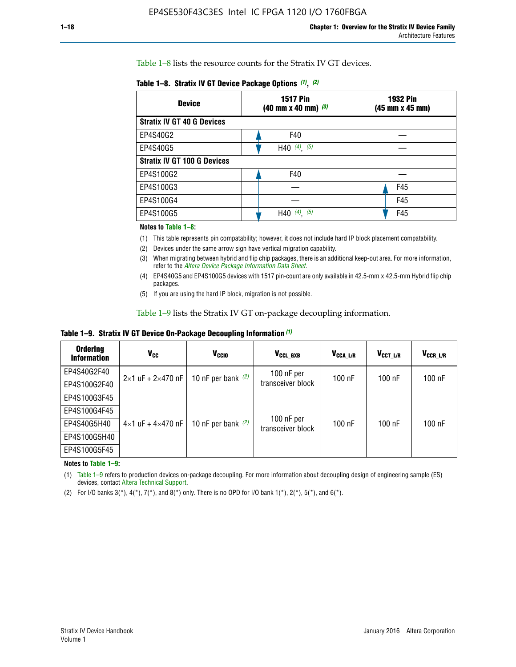Table 1–8 lists the resource counts for the Stratix IV GT devices.

| <b>Device</b>                      | <b>1517 Pin</b><br><b>1932 Pin</b><br>$(40 \text{ mm} \times 40 \text{ mm})$ (3)<br>(45 mm x 45 mm) |     |  |
|------------------------------------|-----------------------------------------------------------------------------------------------------|-----|--|
| <b>Stratix IV GT 40 G Devices</b>  |                                                                                                     |     |  |
| EP4S40G2                           | F40                                                                                                 |     |  |
| EP4S40G5                           | H40 $(4)$ , $(5)$                                                                                   |     |  |
| <b>Stratix IV GT 100 G Devices</b> |                                                                                                     |     |  |
| EP4S100G2                          | F40                                                                                                 |     |  |
| EP4S100G3                          |                                                                                                     | F45 |  |
| EP4S100G4                          |                                                                                                     | F45 |  |
| EP4S100G5                          | H40 $(4)$ $(5)$                                                                                     | F45 |  |

#### **Notes to Table 1–8:**

(1) This table represents pin compatability; however, it does not include hard IP block placement compatability.

- (2) Devices under the same arrow sign have vertical migration capability.
- (3) When migrating between hybrid and flip chip packages, there is an additional keep-out area. For more information, refer to the *[Altera Device Package Information Data Sheet](http://www.altera.com/literature/ds/dspkg.pdf)*.
- (4) EP4S40G5 and EP4S100G5 devices with 1517 pin-count are only available in 42.5-mm x 42.5-mm Hybrid flip chip packages.
- (5) If you are using the hard IP block, migration is not possible.

Table 1–9 lists the Stratix IV GT on-package decoupling information.

**Table 1–9. Stratix IV GT Device On-Package Decoupling Information** *(1)*

| <b>Ordering</b><br><b>Information</b> | Vcc                                 | <b>V<sub>CCIO</sub></b> | V <sub>CCL GXB</sub>            | V <sub>CCA L/R</sub> | V <sub>CCT L/R</sub> | V <sub>CCR L/R</sub> |
|---------------------------------------|-------------------------------------|-------------------------|---------------------------------|----------------------|----------------------|----------------------|
| EP4S40G2F40                           | $2 \times 1$ uF + $2 \times 470$ nF | 10 nF per bank $(2)$    | 100 nF per<br>transceiver block | 100 nF               | $100$ nF             | $100$ nF             |
| EP4S100G2F40                          |                                     |                         |                                 |                      |                      |                      |
| EP4S100G3F45                          |                                     | 10 nF per bank $(2)$    | 100 nF per<br>transceiver block | 100 nF               | $100$ nF             | $100$ nF             |
| EP4S100G4F45                          | $4 \times 1$ uF + $4 \times 470$ nF |                         |                                 |                      |                      |                      |
| EP4S40G5H40                           |                                     |                         |                                 |                      |                      |                      |
| EP4S100G5H40                          |                                     |                         |                                 |                      |                      |                      |
| EP4S100G5F45                          |                                     |                         |                                 |                      |                      |                      |

**Notes to Table 1–9:**

(1) Table 1–9 refers to production devices on-package decoupling. For more information about decoupling design of engineering sample (ES) devices, contact [Altera Technical Support](http://mysupport.altera.com/eservice/login.asp).

(2) For I/O banks  $3(*)$ ,  $4(*)$ ,  $7(*)$ , and  $8(*)$  only. There is no OPD for I/O bank  $1(*)$ ,  $2(*)$ ,  $5(*)$ , and  $6(*)$ .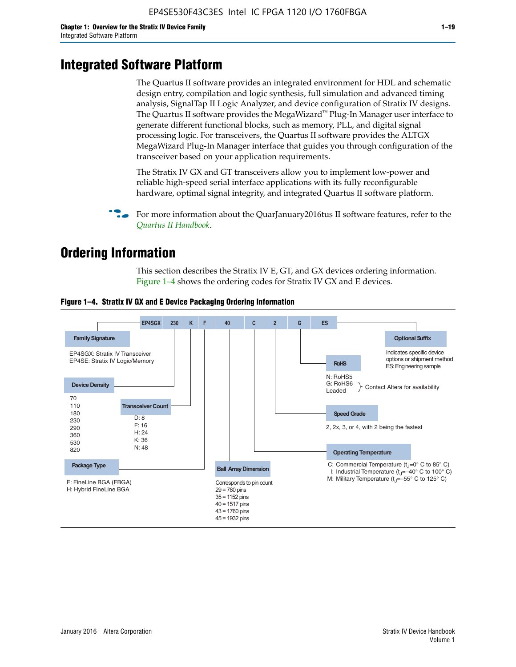# **Integrated Software Platform**

The Quartus II software provides an integrated environment for HDL and schematic design entry, compilation and logic synthesis, full simulation and advanced timing analysis, SignalTap II Logic Analyzer, and device configuration of Stratix IV designs. The Quartus II software provides the MegaWizard<sup> $M$ </sup> Plug-In Manager user interface to generate different functional blocks, such as memory, PLL, and digital signal processing logic. For transceivers, the Quartus II software provides the ALTGX MegaWizard Plug-In Manager interface that guides you through configuration of the transceiver based on your application requirements.

The Stratix IV GX and GT transceivers allow you to implement low-power and reliable high-speed serial interface applications with its fully reconfigurable hardware, optimal signal integrity, and integrated Quartus II software platform.

For more information about the QuarJanuary2016tus II software features, refer to the *[Quartus II Handbook](http://www.altera.com/literature/lit-qts.jsp)*.

# **Ordering Information**

This section describes the Stratix IV E, GT, and GX devices ordering information. Figure 1–4 shows the ordering codes for Stratix IV GX and E devices.



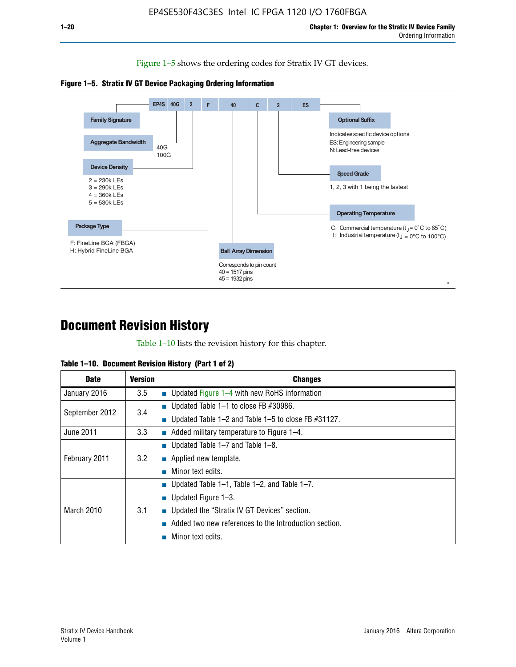Figure 1–5 shows the ordering codes for Stratix IV GT devices.





# **Document Revision History**

Table 1–10 lists the revision history for this chapter.

|  | Table 1–10. Document Revision History (Part 1 of 2) |  |  |
|--|-----------------------------------------------------|--|--|
|--|-----------------------------------------------------|--|--|

| <b>Date</b>       | Version | <b>Changes</b>                                         |
|-------------------|---------|--------------------------------------------------------|
| January 2016      | $3.5\,$ | <b>Updated Figure 1–4 with new RoHS information</b>    |
| September 2012    | 3.4     | ■ Updated Table 1–1 to close FB $#30986$ .             |
|                   |         | Updated Table 1–2 and Table 1–5 to close FB $#31127$ . |
| June 2011         | 3.3     | Added military temperature to Figure 1–4.              |
| February 2011     | 3.2     | ■ Updated Table 1–7 and Table 1–8.                     |
|                   |         | $\blacksquare$ Applied new template.                   |
|                   |         | Minor text edits.                                      |
| <b>March 2010</b> | 3.1     | <b>Updated Table 1–1, Table 1–2, and Table 1–7.</b>    |
|                   |         | ■ Updated Figure $1-3$ .                               |
|                   |         | ■ Updated the "Stratix IV GT Devices" section.         |
|                   |         | Added two new references to the Introduction section.  |
|                   |         | Minor text edits.                                      |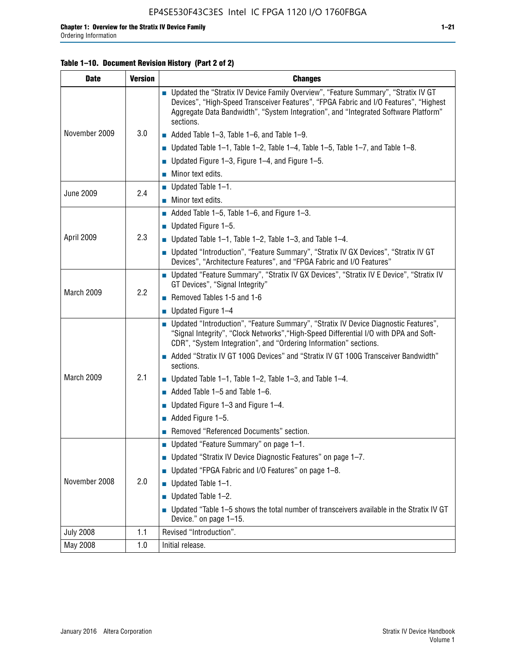### **Table 1–10. Document Revision History (Part 2 of 2)**

| <b>Date</b>      | <b>Version</b> | <b>Changes</b>                                                                                                                                                                                                                                                                    |  |
|------------------|----------------|-----------------------------------------------------------------------------------------------------------------------------------------------------------------------------------------------------------------------------------------------------------------------------------|--|
|                  | 3.0            | ■ Updated the "Stratix IV Device Family Overview", "Feature Summary", "Stratix IV GT<br>Devices", "High-Speed Transceiver Features", "FPGA Fabric and I/O Features", "Highest<br>Aggregate Data Bandwidth", "System Integration", and "Integrated Software Platform"<br>sections. |  |
| November 2009    |                | $\blacksquare$ Added Table 1-3, Table 1-6, and Table 1-9.                                                                                                                                                                                                                         |  |
|                  |                | <b>Updated Table 1–1, Table 1–2, Table 1–4, Table 1–5, Table 1–7, and Table 1–8.</b>                                                                                                                                                                                              |  |
|                  |                | ■ Updated Figure 1–3, Figure 1–4, and Figure 1–5.                                                                                                                                                                                                                                 |  |
|                  |                | $\blacksquare$ Minor text edits.                                                                                                                                                                                                                                                  |  |
|                  | 2.4            | $\blacksquare$ Updated Table 1-1.                                                                                                                                                                                                                                                 |  |
| <b>June 2009</b> |                | $\blacksquare$ Minor text edits.                                                                                                                                                                                                                                                  |  |
|                  |                | $\blacksquare$ Added Table 1-5, Table 1-6, and Figure 1-3.                                                                                                                                                                                                                        |  |
|                  |                | ■ Updated Figure $1-5$ .                                                                                                                                                                                                                                                          |  |
| April 2009       | 2.3            | Updated Table $1-1$ , Table $1-2$ , Table $1-3$ , and Table $1-4$ .                                                                                                                                                                                                               |  |
|                  |                | ■ Updated "Introduction", "Feature Summary", "Stratix IV GX Devices", "Stratix IV GT<br>Devices", "Architecture Features", and "FPGA Fabric and I/O Features"                                                                                                                     |  |
|                  | 2.2            | ■ Updated "Feature Summary", "Stratix IV GX Devices", "Stratix IV E Device", "Stratix IV<br>GT Devices", "Signal Integrity"                                                                                                                                                       |  |
| March 2009       |                | Removed Tables 1-5 and 1-6                                                                                                                                                                                                                                                        |  |
|                  |                | $\blacksquare$ Updated Figure 1-4                                                                                                                                                                                                                                                 |  |
|                  |                | ■ Updated "Introduction", "Feature Summary", "Stratix IV Device Diagnostic Features",<br>"Signal Integrity", "Clock Networks", "High-Speed Differential I/O with DPA and Soft-<br>CDR", "System Integration", and "Ordering Information" sections.                                |  |
|                  |                | Added "Stratix IV GT 100G Devices" and "Stratix IV GT 100G Transceiver Bandwidth"<br>sections.                                                                                                                                                                                    |  |
| March 2009       | 2.1            | ■ Updated Table 1–1, Table 1–2, Table 1–3, and Table 1–4.                                                                                                                                                                                                                         |  |
|                  |                | $\blacksquare$ Added Table 1-5 and Table 1-6.                                                                                                                                                                                                                                     |  |
|                  |                | ■ Updated Figure $1-3$ and Figure $1-4$ .                                                                                                                                                                                                                                         |  |
|                  |                | $\blacksquare$ Added Figure 1-5.                                                                                                                                                                                                                                                  |  |
|                  |                | Removed "Referenced Documents" section.                                                                                                                                                                                                                                           |  |
| November 2008    |                | Updated "Feature Summary" on page 1-1.                                                                                                                                                                                                                                            |  |
|                  |                | ■ Updated "Stratix IV Device Diagnostic Features" on page 1-7.                                                                                                                                                                                                                    |  |
|                  | 2.0            | Updated "FPGA Fabric and I/O Features" on page 1-8.                                                                                                                                                                                                                               |  |
|                  |                | $\blacksquare$ Updated Table 1-1.                                                                                                                                                                                                                                                 |  |
|                  |                | Updated Table 1-2.<br>П                                                                                                                                                                                                                                                           |  |
|                  |                | Updated "Table 1-5 shows the total number of transceivers available in the Stratix IV GT<br>Device." on page 1-15.                                                                                                                                                                |  |
| <b>July 2008</b> | 1.1            | Revised "Introduction".                                                                                                                                                                                                                                                           |  |
| May 2008         | 1.0            | Initial release.                                                                                                                                                                                                                                                                  |  |